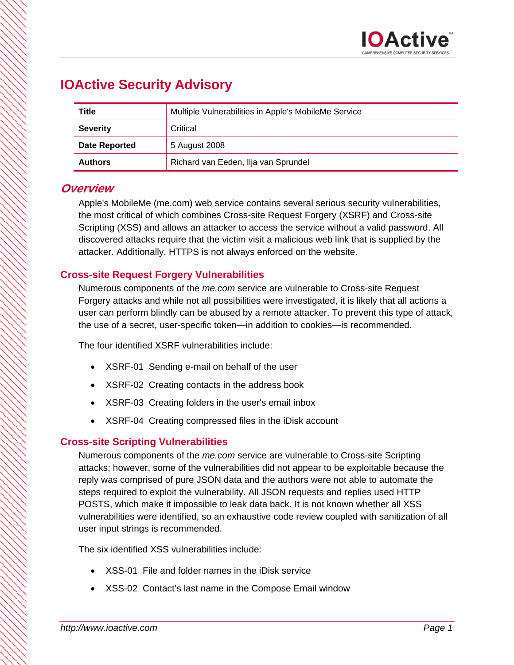# **IOActive Security Advisory**

| Title                | Multiple Vulnerabilities in Apple's MobileMe Service |  |  |  |
|----------------------|------------------------------------------------------|--|--|--|
| <b>Severity</b>      | Critical                                             |  |  |  |
| <b>Date Reported</b> | 5 August 2008                                        |  |  |  |
| <b>Authors</b>       | Richard van Eeden, Ilja van Sprundel                 |  |  |  |

### **Overview**

Apple's MobileMe (me.com) web service contains several serious security vulnerabilities, the most critical of which combines Cross-site Request Forgery (XSRF) and Cross-site Scripting (XSS) and allows an attacker to access the service without a valid password. All discovered attacks require that the victim visit a malicious web link that is supplied by the attacker. Additionally, HTTPS is not always enforced on the website.

### **Cross-site Request Forgery Vulnerabilities**

Numerous components of the *me.com* service are vulnerable to Cross-site Request Forgery attacks and while not all possibilities were investigated, it is likely that all actions a user can perform blindly can be abused by a remote attacker. To prevent this type of attack, the use of a secret, user-specific token—in addition to cookies—is recommended.

The four identified XSRF vulnerabilities include:

- XSRF-01 Sending e-mail on behalf of the user
- XSRF-02 Creating contacts in the address book
- XSRF-03 Creating folders in the user's email inbox
- XSRF-04 Creating compressed files in the iDisk account

### **Cross-site Scripting Vulnerabilities**

Numerous components of the *me.com* service are vulnerable to Cross-site Scripting attacks; however, some of the vulnerabilities did not appear to be exploitable because the reply was comprised of pure JSON data and the authors were not able to automate the steps required to exploit the vulnerability. All JSON requests and replies used HTTP POSTS, which make it impossible to leak data back. It is not known whether all XSS vulnerabilities were identified, so an exhaustive code review coupled with sanitization of all user input strings is recommended.

The six identified XSS vulnerabilities include:

- XSS-01 File and folder names in the iDisk service
- XSS-02 Contact's last name in the Compose Email window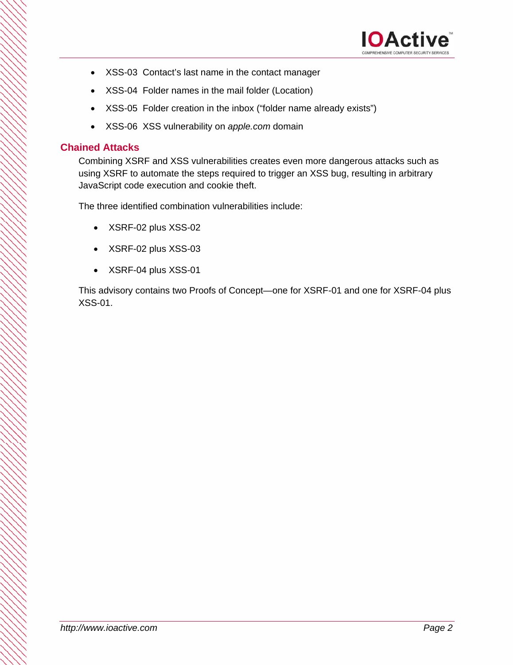

- XSS-03 Contact's last name in the contact manager
- XSS-04 Folder names in the mail folder (Location)
- XSS-05 Folder creation in the inbox ("folder name already exists")
- XSS-06 XSS vulnerability on *apple.com* domain

### **Chained Attacks**

Combining XSRF and XSS vulnerabilities creates even more dangerous attacks such as using XSRF to automate the steps required to trigger an XSS bug, resulting in arbitrary JavaScript code execution and cookie theft.

The three identified combination vulnerabilities include:

- XSRF-02 plus XSS-02
- XSRF-02 plus XSS-03
- XSRF-04 plus XSS-01

This advisory contains two Proofs of Concept—one for XSRF-01 and one for XSRF-04 plus XSS-01.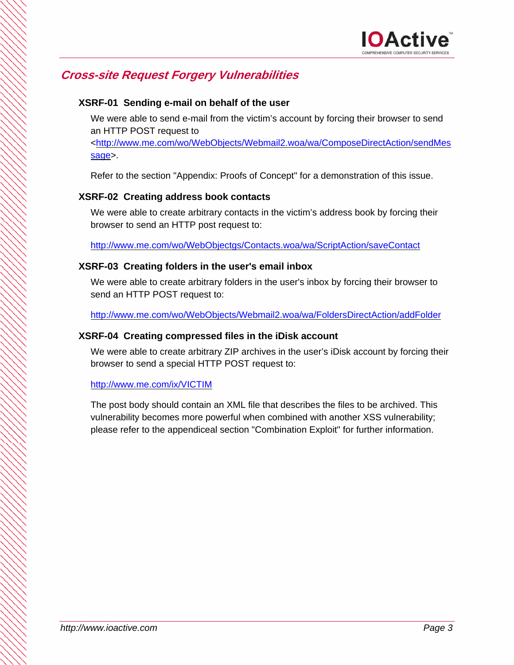## **Cross-site Request Forgery Vulnerabilities**

### **XSRF-01 Sending e-mail on behalf of the user**

We were able to send e-mail from the victim's account by forcing their browser to send an HTTP POST request to

<http://www.me.com/wo/WebObjects/Webmail2.woa/wa/ComposeDirectAction/sendMes sage>.

Refer to the section "Appendix: Proofs of Concept" for a demonstration of this issue.

### **XSRF-02 Creating address book contacts**

We were able to create arbitrary contacts in the victim's address book by forcing their browser to send an HTTP post request to:

http://www.me.com/wo/WebObjectgs/Contacts.woa/wa/ScriptAction/saveContact

### **XSRF-03 Creating folders in the user's email inbox**

We were able to create arbitrary folders in the user's inbox by forcing their browser to send an HTTP POST request to:

http://www.me.com/wo/WebObjects/Webmail2.woa/wa/FoldersDirectAction/addFolder

#### **XSRF-04 Creating compressed files in the iDisk account**

We were able to create arbitrary ZIP archives in the user's iDisk account by forcing their browser to send a special HTTP POST request to:

#### http://www.me.com/ix/VICTIM

The post body should contain an XML file that describes the files to be archived. This vulnerability becomes more powerful when combined with another XSS vulnerability; please refer to the appendiceal section "Combination Exploit" for further information.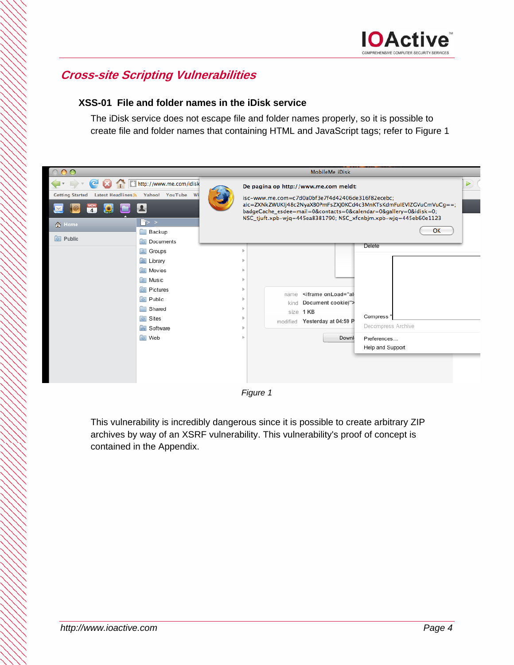## **Cross-site Scripting Vulnerabilities**

### **XSS-01 File and folder names in the iDisk service**

The iDisk service does not escape file and folder names properly, so it is possible to create file and folder names that containing HTML and JavaScript tags; refer to Figure 1

| $\circ$                                                                                                                                                                                                                                 |                                                                                                                                                             | MobileMe iDisk |                                                                                                                                                                                                                                                                                                        |                                                                               |                       |
|-----------------------------------------------------------------------------------------------------------------------------------------------------------------------------------------------------------------------------------------|-------------------------------------------------------------------------------------------------------------------------------------------------------------|----------------|--------------------------------------------------------------------------------------------------------------------------------------------------------------------------------------------------------------------------------------------------------------------------------------------------------|-------------------------------------------------------------------------------|-----------------------|
| $\leftarrow$ $\leftarrow$ $\leftarrow$ $\leftarrow$ $\leftarrow$ $\leftarrow$ $\leftarrow$ $\leftarrow$ http://www.me.com/idisk<br><b>Getting Started</b><br>$\overline{\mathbf{A}}$<br>$\bullet$<br>$\geq$<br>合 Home<br>$\circ$ Public | Latest Headlines >> Yahoo! YouTube Wi<br>上<br>$\mathbb{P}$ > ><br>Backup<br><b>D</b> Documents                                                              |                | De pagina op http://www.me.com meldt:<br>isc-www.me.com=c7d0a0bf3e7f4d42406de316f82ecebc:<br>aic=ZXNkZWUKIj48c2NyaXB0PmFsZXJ0KCd4c3MnKTsKdmFuIEVIZGVuCmVuCg==;<br>badgeCache_esdee=mail=0&contacts=0&calendar=0&gallery=0&idisk=0;<br>NSC_tjuft.xpb-wjq=445ea8381790; NSC_xfcnbjm.xpb-wjq=445eb60e1123 | OK                                                                            | $\blacktriangleright$ |
|                                                                                                                                                                                                                                         | <b>Sroups</b><br>Library<br><b>Movies</b><br><b>A</b> Music<br><b>E</b> Pictures<br><b>Public</b><br>Shared<br><b>a</b> Sites<br>☆ Software<br><b>O</b> Web |                | <iframe onload="al&lt;br&gt;name&lt;br&gt;Document cookie)"><br/>kind<br/>size 1 KB<br/>modified Yesterday at 04:59 P<br/>Downl</iframe>                                                                                                                                                               | Delete<br>Compress '<br>Decompress Archive<br>Preferences<br>Help and Support |                       |

*Figure 1*

This vulnerability is incredibly dangerous since it is possible to create arbitrary ZIP archives by way of an XSRF vulnerability. This vulnerability's proof of concept is contained in the Appendix.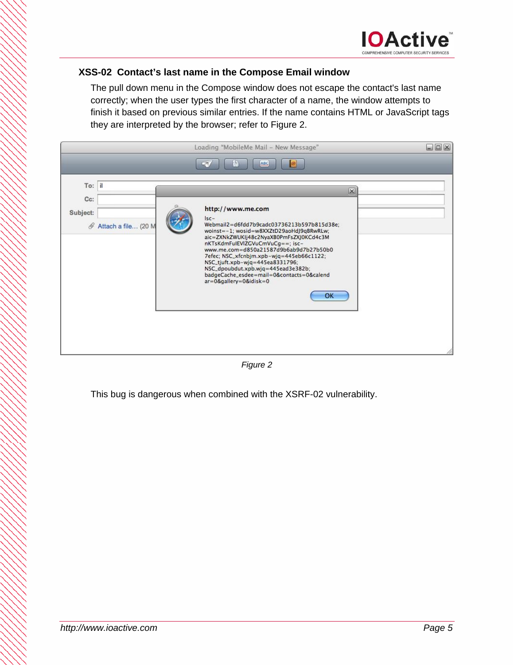### **XSS-02 Contact's last name in the Compose Email window**

The pull down menu in the Compose window does not escape the contact's last name correctly; when the user types the first character of a name, the window attempts to finish it based on previous similar entries. If the name contains HTML or JavaScript tags they are interpreted by the browser; refer to Figure 2.



*Figure 2* 

This bug is dangerous when combined with the XSRF-02 vulnerability.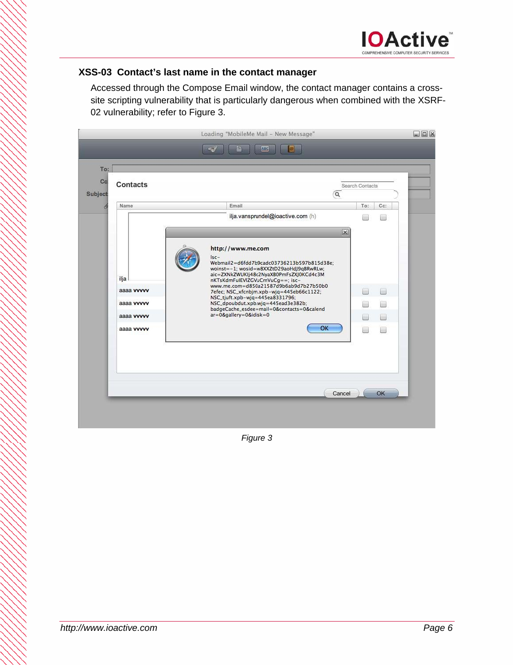### **XSS-03 Contact's last name in the contact manager**

Accessed through the Compose Email window, the contact manager contains a crosssite scripting vulnerability that is particularly dangerous when combined with the XSRF-02 vulnerability; refer to Figure 3.



*Figure 3*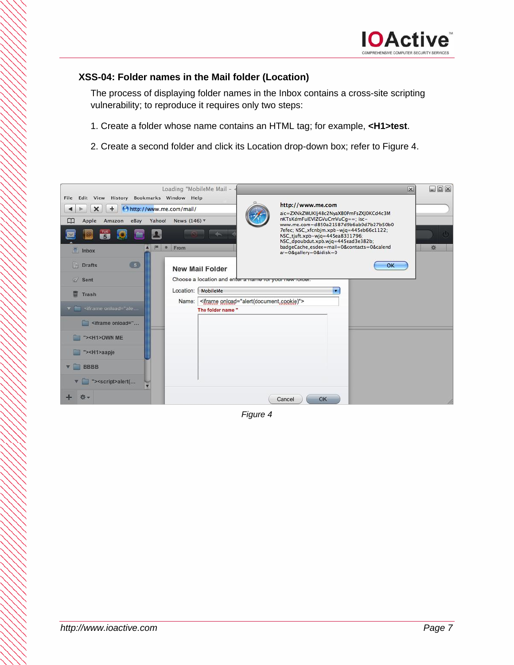### **XSS-04: Folder names in the Mail folder (Location)**

The process of displaying folder names in the Inbox contains a cross-site scripting vulnerability; to reproduce it requires only two steps:

- 1. Create a folder whose name contains an HTML tag; for example, **<H1>test**.
- 2. Create a second folder and click its Location drop-down box; refer to Figure 4.



*Figure 4*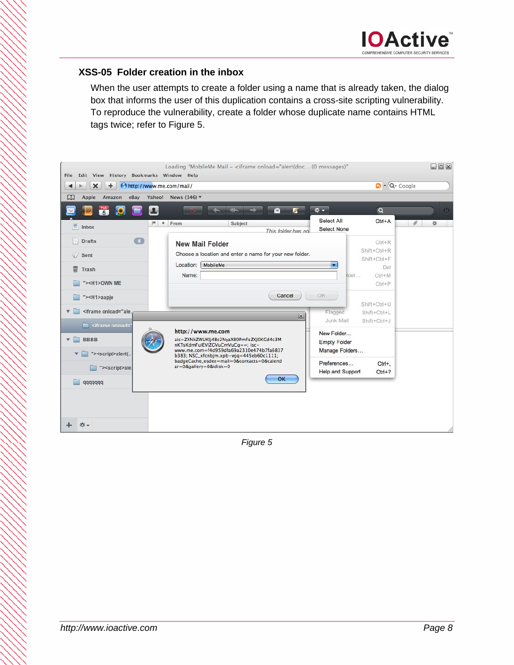### **XSS-05 Folder creation in the inbox**

When the user attempts to create a folder using a name that is already taken, the dialog box that informs the user of this duplication contains a cross-site scripting vulnerability. To reproduce the vulnerability, create a folder whose duplicate name contains HTML tags twice; refer to Figure 5.



*Figure 5*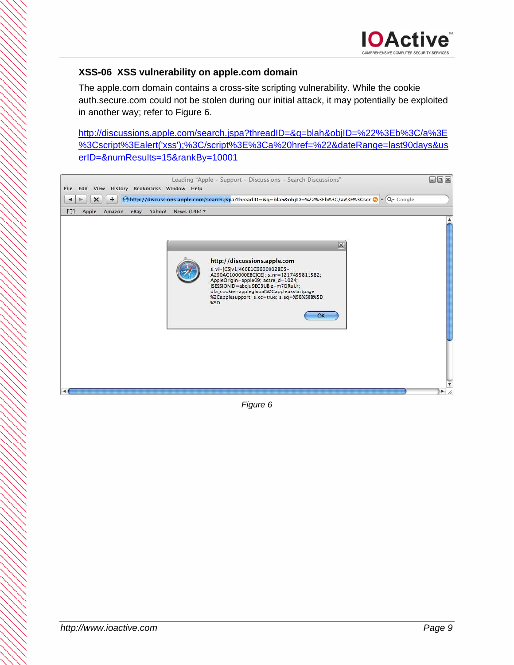### **XSS-06 XSS vulnerability on apple.com domain**

The apple.com domain contains a cross-site scripting vulnerability. While the cookie auth.secure.com could not be stolen during our initial attack, it may potentially be exploited in another way; refer to Figure 6.

http://discussions.apple.com/search.jspa?threadID=&q=blah&objID=%22%3Eb%3C/a%3E %3Cscript%3Ealert('xss');%3C/script%3E%3Ca%20href=%22&dateRange=last90days&us erID=&numResults=15&rankBy=10001



*Figure 6*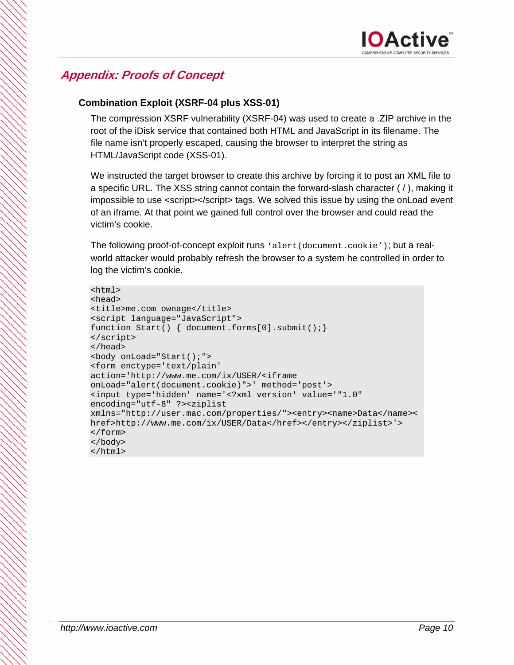## **Appendix: Proofs of Concept**

### **Combination Exploit (XSRF-04 plus XSS-01)**

The compression XSRF vulnerability (XSRF-04) was used to create a .ZIP archive in the root of the iDisk service that contained both HTML and JavaScript in its filename. The file name isn't properly escaped, causing the browser to interpret the string as HTML/JavaScript code (XSS-01).

We instructed the target browser to create this archive by forcing it to post an XML file to a specific URL. The XSS string cannot contain the forward-slash character ( / ), making it impossible to use <script></script> tags. We solved this issue by using the onLoad event of an iframe. At that point we gained full control over the browser and could read the victim's cookie.

The following proof-of-concept exploit runs 'alert(document.cookie'); but a realworld attacker would probably refresh the browser to a system he controlled in order to log the victim's cookie.

```
<html> 
<head> 
<title>me.com ownage</title> 
<script language="JavaScript"> 
function Start() { document.forms[0].submit();}
</script> 
</head> 
<body onLoad="Start();"> 
<form enctype='text/plain' 
action='http://www.me.com/ix/USER/<iframe 
onLoad="alert(document.cookie)">' method='post'> 
<input type='hidden' name='<?xml version' value='"1.0" 
encoding="utf-8" ?><ziplist 
xmlns="http://user.mac.com/properties/"><entry><name>Data</name><
href>http://www.me.com/ix/USER/Data</href></entry></ziplist>'> 
</form> 
</body> 
</html>
```